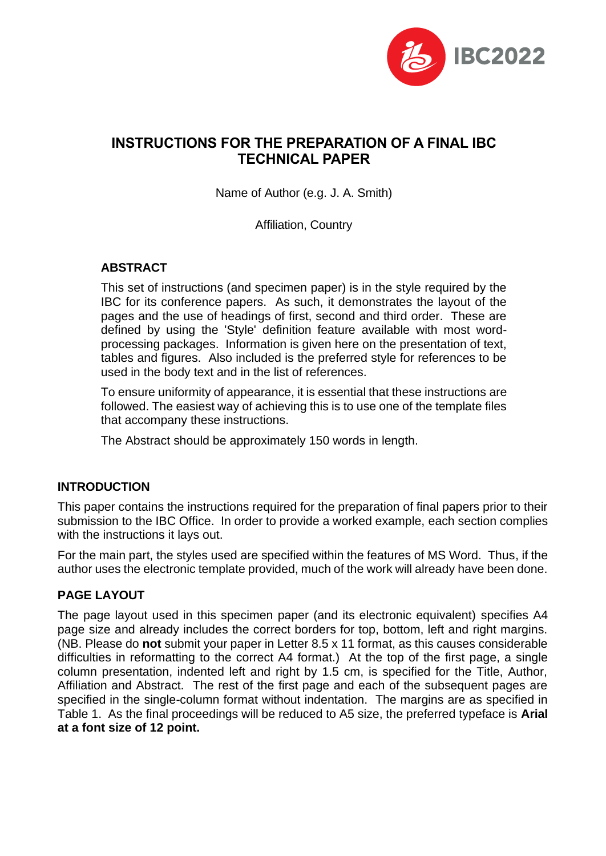

# **INSTRUCTIONS FOR THE PREPARATION OF A FINAL IBC TECHNICAL PAPER**

Name of Author (e.g. J. A. Smith)

Affiliation, Country

# **ABSTRACT**

This set of instructions (and specimen paper) is in the style required by the IBC for its conference papers. As such, it demonstrates the layout of the pages and the use of headings of first, second and third order. These are defined by using the 'Style' definition feature available with most wordprocessing packages. Information is given here on the presentation of text, tables and figures. Also included is the preferred style for references to be used in the body text and in the list of references.

To ensure uniformity of appearance, it is essential that these instructions are followed. The easiest way of achieving this is to use one of the template files that accompany these instructions.

The Abstract should be approximately 150 words in length.

# **INTRODUCTION**

This paper contains the instructions required for the preparation of final papers prior to their submission to the IBC Office. In order to provide a worked example, each section complies with the instructions it lays out.

For the main part, the styles used are specified within the features of MS Word. Thus, if the author uses the electronic template provided, much of the work will already have been done.

# **PAGE LAYOUT**

The page layout used in this specimen paper (and its electronic equivalent) specifies A4 page size and already includes the correct borders for top, bottom, left and right margins. (NB. Please do **not** submit your paper in Letter 8.5 x 11 format, as this causes considerable difficulties in reformatting to the correct A4 format.) At the top of the first page, a single column presentation, indented left and right by 1.5 cm, is specified for the Title, Author, Affiliation and Abstract. The rest of the first page and each of the subsequent pages are specified in the single-column format without indentation. The margins are as specified in Table 1. As the final proceedings will be reduced to A5 size, the preferred typeface is **Arial at a font size of 12 point.**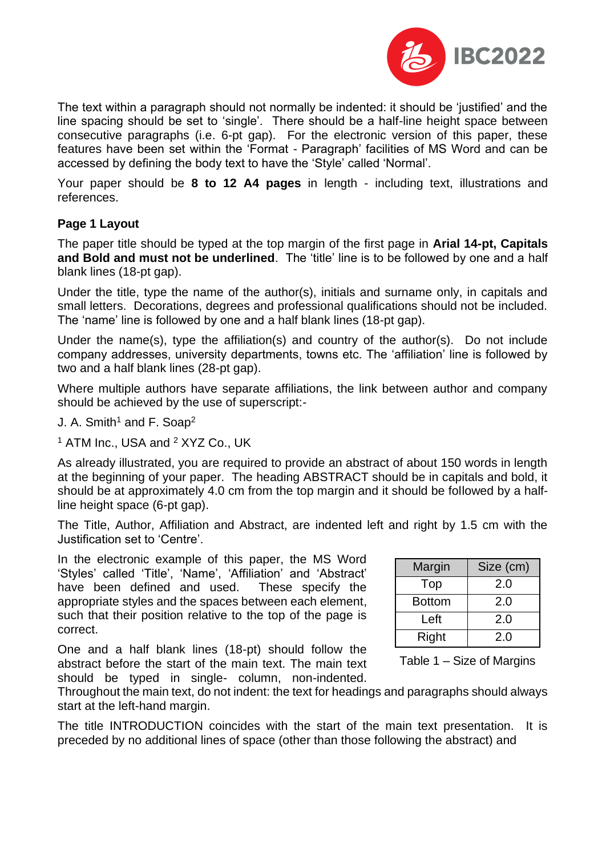

The text within a paragraph should not normally be indented: it should be 'justified' and the line spacing should be set to 'single'. There should be a half-line height space between consecutive paragraphs (i.e. 6-pt gap). For the electronic version of this paper, these features have been set within the 'Format - Paragraph' facilities of MS Word and can be accessed by defining the body text to have the 'Style' called 'Normal'.

Your paper should be **8 to 12 A4 pages** in length - including text, illustrations and references.

# **Page 1 Layout**

The paper title should be typed at the top margin of the first page in **Arial 14-pt, Capitals and Bold and must not be underlined**. The 'title' line is to be followed by one and a half blank lines (18-pt gap).

Under the title, type the name of the author(s), initials and surname only, in capitals and small letters. Decorations, degrees and professional qualifications should not be included. The 'name' line is followed by one and a half blank lines (18-pt gap).

Under the name(s), type the affiliation(s) and country of the author(s). Do not include company addresses, university departments, towns etc. The 'affiliation' line is followed by two and a half blank lines (28-pt gap).

Where multiple authors have separate affiliations, the link between author and company should be achieved by the use of superscript:-

J. A. Smith<sup>1</sup> and F. Soap<sup>2</sup>

<sup>1</sup> ATM Inc., USA and <sup>2</sup> XYZ Co., UK

As already illustrated, you are required to provide an abstract of about 150 words in length at the beginning of your paper. The heading ABSTRACT should be in capitals and bold, it should be at approximately 4.0 cm from the top margin and it should be followed by a halfline height space (6-pt gap).

The Title, Author, Affiliation and Abstract, are indented left and right by 1.5 cm with the Justification set to 'Centre'.

In the electronic example of this paper, the MS Word 'Styles' called 'Title', 'Name', 'Affiliation' and 'Abstract' have been defined and used. These specify the appropriate styles and the spaces between each element, such that their position relative to the top of the page is correct.

One and a half blank lines (18-pt) should follow the abstract before the start of the main text. The main text should be typed in single- column, non-indented.

| Margin        | Size (cm) |
|---------------|-----------|
| Top           | 2.0       |
| <b>Bottom</b> | 2.0       |
| Left          | 2.0       |
| Right         | 2.0       |

Table 1 – Size of Margins

Throughout the main text, do not indent: the text for headings and paragraphs should always start at the left-hand margin. - Size of Margins

The title INTRODUCTION coincides with the start of the main text presentation. It is preceded by no additional lines of space (other than those following the abstract) and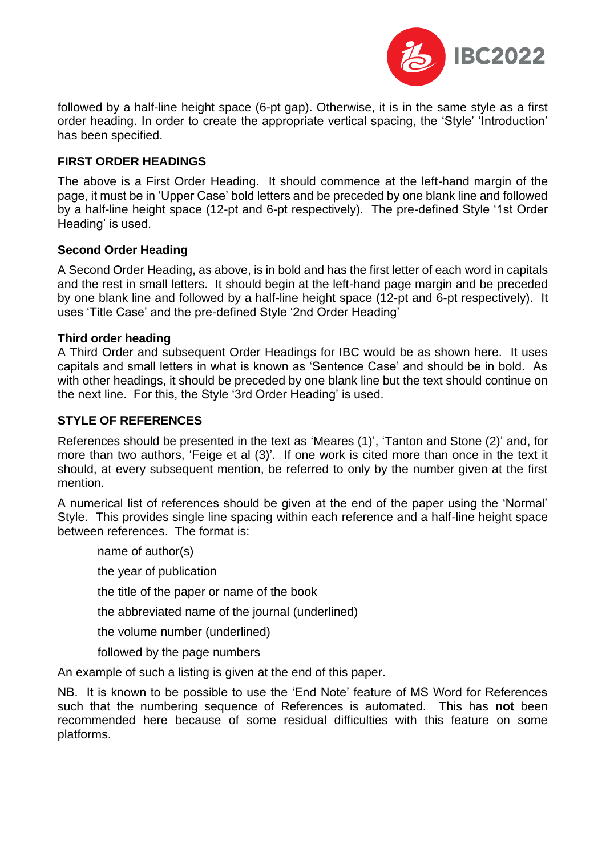

followed by a half-line height space (6-pt gap). Otherwise, it is in the same style as a first order heading. In order to create the appropriate vertical spacing, the 'Style' 'Introduction' has been specified.

### **FIRST ORDER HEADINGS**

The above is a First Order Heading. It should commence at the left-hand margin of the page, it must be in 'Upper Case' bold letters and be preceded by one blank line and followed by a half-line height space (12-pt and 6-pt respectively). The pre-defined Style '1st Order Heading' is used.

### **Second Order Heading**

A Second Order Heading, as above, is in bold and has the first letter of each word in capitals and the rest in small letters. It should begin at the left-hand page margin and be preceded by one blank line and followed by a half-line height space (12-pt and 6-pt respectively). It uses 'Title Case' and the pre-defined Style '2nd Order Heading'

### **Third order heading**

A Third Order and subsequent Order Headings for IBC would be as shown here. It uses capitals and small letters in what is known as 'Sentence Case' and should be in bold. As with other headings, it should be preceded by one blank line but the text should continue on the next line. For this, the Style '3rd Order Heading' is used.

# **STYLE OF REFERENCES**

References should be presented in the text as 'Meares (1)', 'Tanton and Stone (2)' and, for more than two authors, 'Feige et al (3)'. If one work is cited more than once in the text it should, at every subsequent mention, be referred to only by the number given at the first mention.

A numerical list of references should be given at the end of the paper using the 'Normal' Style. This provides single line spacing within each reference and a half-line height space between references. The format is:

name of author(s)

the year of publication

the title of the paper or name of the book

the abbreviated name of the journal (underlined)

the volume number (underlined)

followed by the page numbers

An example of such a listing is given at the end of this paper.

NB. It is known to be possible to use the 'End Note' feature of MS Word for References such that the numbering sequence of References is automated. This has **not** been recommended here because of some residual difficulties with this feature on some platforms.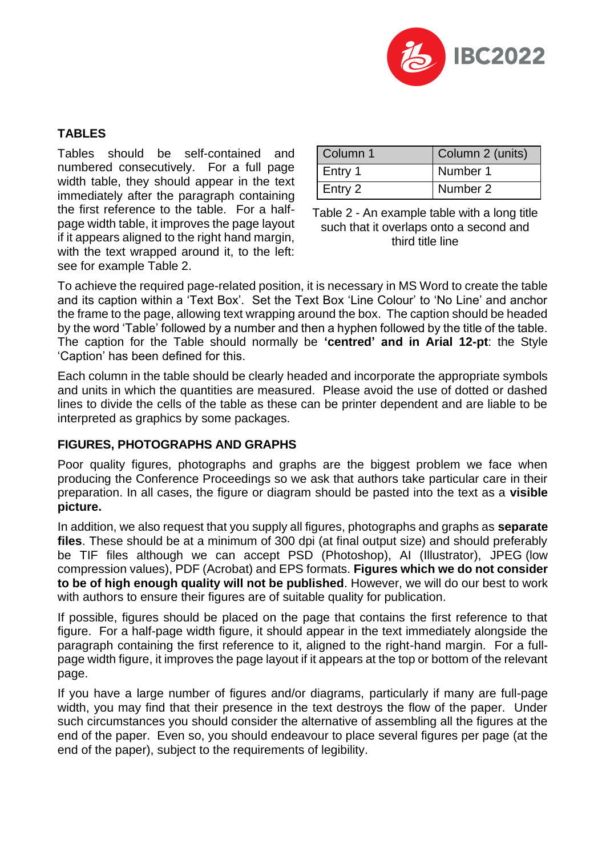

# **TABLES**

Tables should be self-contained and numbered consecutively. For a full page width table, they should appear in the text immediately after the paragraph containing the first reference to the table. For a halfpage width table, it improves the page layout if it appears aligned to the right hand margin, with the text wrapped around it, to the left: see for example Table 2.

| Column 1 | Column 2 (units) |
|----------|------------------|
| Entry 1  | Number 1         |
| Entry 2  | Number 2         |

Table 2 - An example table with a long title such that it overlaps onto a second and third title line

To achieve the required page-related position, it is necessary in MS Word to create the table and its caption within a 'Text Box'. Set the Text Box 'Line Colour' to 'No Line' and anchor the frame to the page, allowing text wrapping around the box. The caption should be headed by the word 'Table' followed by a number and then a hyphen followed by the title of the table. The caption for the Table should normally be **'centred' and in Arial 12-pt**: the Style 'Caption' has been defined for this.

Each column in the table should be clearly headed and incorporate the appropriate symbols and units in which the quantities are measured. Please avoid the use of dotted or dashed lines to divide the cells of the table as these can be printer dependent and are liable to be interpreted as graphics by some packages.

# **FIGURES, PHOTOGRAPHS AND GRAPHS**

Poor quality figures, photographs and graphs are the biggest problem we face when producing the Conference Proceedings so we ask that authors take particular care in their preparation. In all cases, the figure or diagram should be pasted into the text as a **visible picture.**

In addition, we also request that you supply all figures, photographs and graphs as **separate files**. These should be at a minimum of 300 dpi (at final output size) and should preferably be TIF files although we can accept PSD (Photoshop), AI (Illustrator), JPEG (low compression values), PDF (Acrobat) and EPS formats. **Figures which we do not consider to be of high enough quality will not be published**. However, we will do our best to work with authors to ensure their figures are of suitable quality for publication.

If possible, figures should be placed on the page that contains the first reference to that figure. For a half-page width figure, it should appear in the text immediately alongside the paragraph containing the first reference to it, aligned to the right-hand margin. For a fullpage width figure, it improves the page layout if it appears at the top or bottom of the relevant page.

If you have a large number of figures and/or diagrams, particularly if many are full-page width, you may find that their presence in the text destroys the flow of the paper. Under such circumstances you should consider the alternative of assembling all the figures at the end of the paper. Even so, you should endeavour to place several figures per page (at the end of the paper), subject to the requirements of legibility.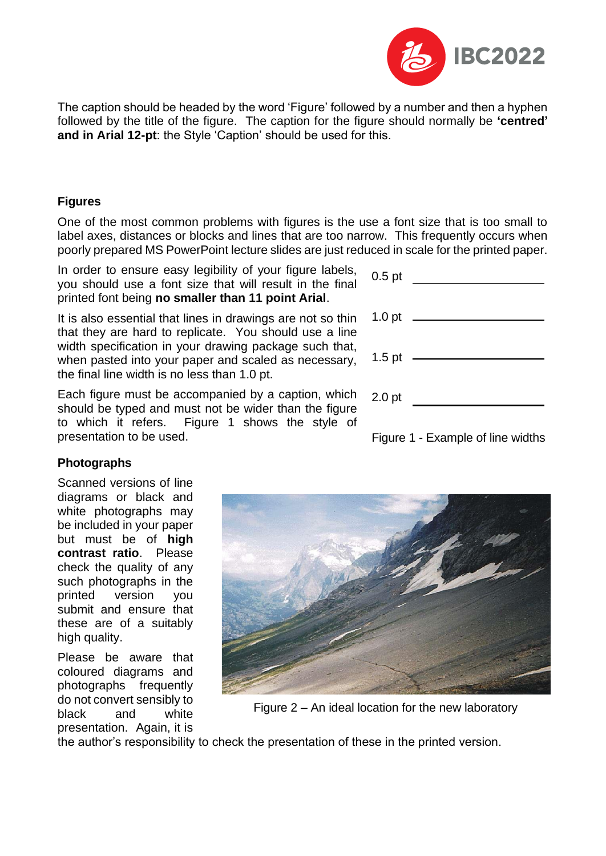

The caption should be headed by the word 'Figure' followed by a number and then a hyphen followed by the title of the figure. The caption for the figure should normally be **'centred' and in Arial 12-pt**: the Style 'Caption' should be used for this.

# **Figures**

One of the most common problems with figures is the use a font size that is too small to label axes, distances or blocks and lines that are too narrow. This frequently occurs when poorly prepared MS PowerPoint lecture slides are just reduced in scale for the printed paper.

In order to ensure easy legibility of your figure labels, you should use a font size that will result in the final printed font being **no smaller than 11 point Arial**.

It is also essential that lines in drawings are not so thin that they are hard to replicate. You should use a line width specification in your drawing package such that, when pasted into your paper and scaled as necessary, the final line width is no less than 1.0 pt.

Each figure must be accompanied by a caption, which should be typed and must not be wider than the figure to which it refers. Figure 1 shows the style of presentation to be used.

| $0.5$ pt          |  |
|-------------------|--|
| 1.0 <sub>pt</sub> |  |
| $1.5$ pt          |  |
| 2.0 <sub>pt</sub> |  |
|                   |  |

Figure 1 - Example of line widths

### **Photographs**

Scanned versions of line diagrams or black and white photographs may be included in your paper but must be of **high contrast ratio**. Please check the quality of any such photographs in the printed version you submit and ensure that these are of a suitably high quality.

Please be aware that coloured diagrams and photographs frequently do not convert sensibly to black and white presentation. Again, it is



Figure 2 – An ideal location for the new laboratory

the author's responsibility to check the presentation of these in the printed version.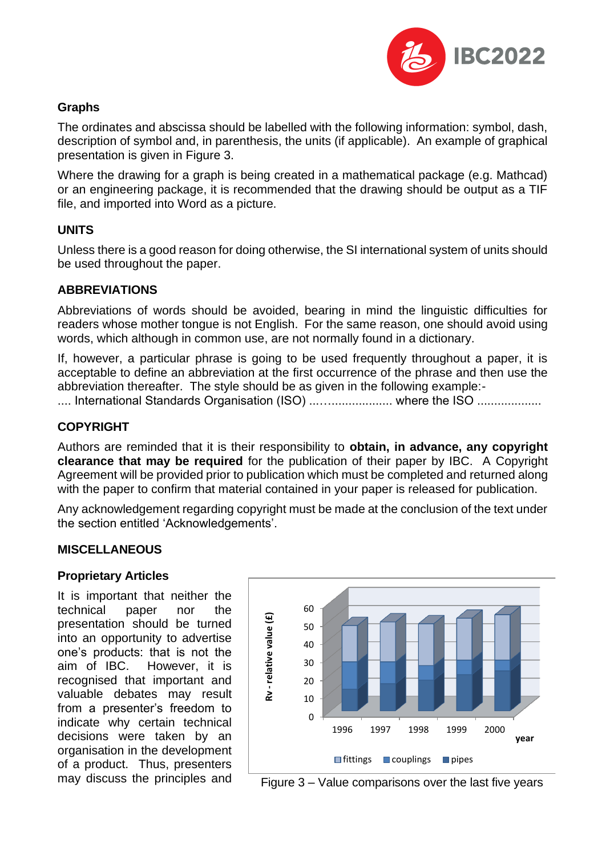

# **Graphs**

The ordinates and abscissa should be labelled with the following information: symbol, dash, description of symbol and, in parenthesis, the units (if applicable). An example of graphical presentation is given in Figure 3.

Where the drawing for a graph is being created in a mathematical package (e.g. Mathcad) or an engineering package, it is recommended that the drawing should be output as a TIF file, and imported into Word as a picture.

### **UNITS**

Unless there is a good reason for doing otherwise, the SI international system of units should be used throughout the paper.

### **ABBREVIATIONS**

Abbreviations of words should be avoided, bearing in mind the linguistic difficulties for readers whose mother tongue is not English. For the same reason, one should avoid using words, which although in common use, are not normally found in a dictionary.

If, however, a particular phrase is going to be used frequently throughout a paper, it is acceptable to define an abbreviation at the first occurrence of the phrase and then use the abbreviation thereafter. The style should be as given in the following example:- .... International Standards Organisation (ISO) ...….................. where the ISO ...................

### **COPYRIGHT**

Authors are reminded that it is their responsibility to **obtain, in advance, any copyright clearance that may be required** for the publication of their paper by IBC. A Copyright Agreement will be provided prior to publication which must be completed and returned along with the paper to confirm that material contained in your paper is released for publication.

Any acknowledgement regarding copyright must be made at the conclusion of the text under the section entitled 'Acknowledgements'.

### **MISCELLANEOUS**

### **Proprietary Articles**

It is important that neither the technical paper nor the presentation should be turned into an opportunity to advertise one's products: that is not the aim of IBC. However, it is recognised that important and valuable debates may result from a presenter's freedom to indicate why certain technical decisions were taken by an organisation in the development of a product. Thus, presenters



may discuss the principles and  $\overline{\phantom{a}}$  Figure 3 – Value comparisons over the last five years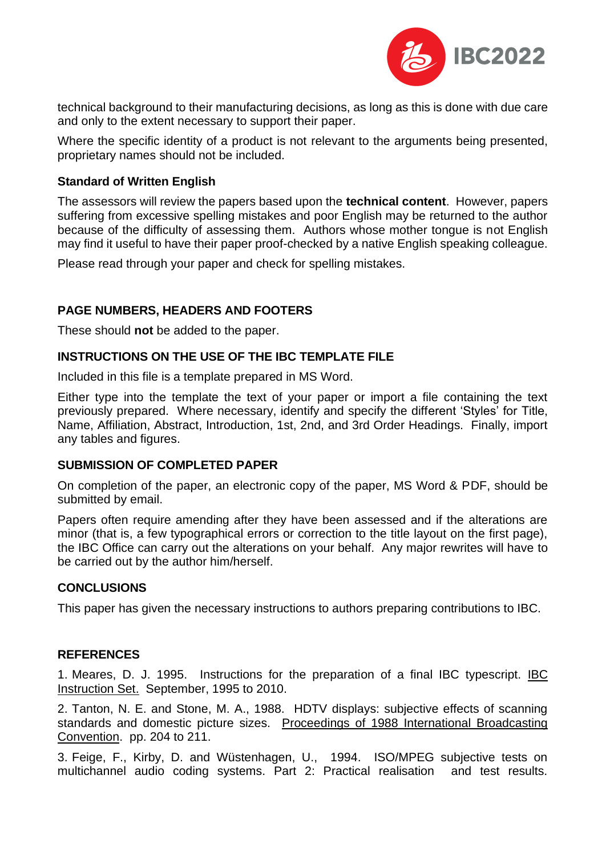

technical background to their manufacturing decisions, as long as this is done with due care and only to the extent necessary to support their paper.

Where the specific identity of a product is not relevant to the arguments being presented, proprietary names should not be included.

#### **Standard of Written English**

The assessors will review the papers based upon the **technical content**. However, papers suffering from excessive spelling mistakes and poor English may be returned to the author because of the difficulty of assessing them. Authors whose mother tongue is not English may find it useful to have their paper proof-checked by a native English speaking colleague.

Please read through your paper and check for spelling mistakes.

### **PAGE NUMBERS, HEADERS AND FOOTERS**

These should **not** be added to the paper.

#### **INSTRUCTIONS ON THE USE OF THE IBC TEMPLATE FILE**

Included in this file is a template prepared in MS Word.

Either type into the template the text of your paper or import a file containing the text previously prepared. Where necessary, identify and specify the different 'Styles' for Title, Name, Affiliation, Abstract, Introduction, 1st, 2nd, and 3rd Order Headings. Finally, import any tables and figures.

#### **SUBMISSION OF COMPLETED PAPER**

On completion of the paper, an electronic copy of the paper, MS Word & PDF, should be submitted by email.

Papers often require amending after they have been assessed and if the alterations are minor (that is, a few typographical errors or correction to the title layout on the first page), the IBC Office can carry out the alterations on your behalf. Any major rewrites will have to be carried out by the author him/herself.

### **CONCLUSIONS**

This paper has given the necessary instructions to authors preparing contributions to IBC.

### **REFERENCES**

1. Meares, D. J. 1995. Instructions for the preparation of a final IBC typescript. IBC Instruction Set. September, 1995 to 2010.

2. Tanton, N. E. and Stone, M. A., 1988. HDTV displays: subjective effects of scanning standards and domestic picture sizes. Proceedings of 1988 International Broadcasting Convention. pp. 204 to 211.

3. Feige, F., Kirby, D. and Wüstenhagen, U., 1994. ISO/MPEG subjective tests on multichannel audio coding systems. Part 2: Practical realisation and test results.